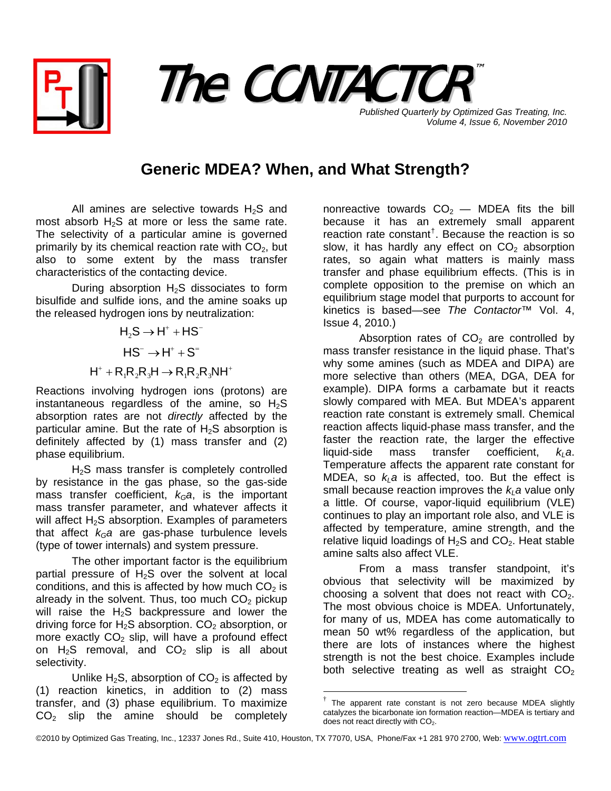



Published Quarterly by Optimized Gas Treating, Inc. *Volume 4, Issue 6, November 2010*

## **Generic MDEA? When, and What Strength?**

All amines are selective towards  $H_2S$  and most absorb  $H_2S$  at more or less the same rate. The selectivity of a particular amine is governed primarily by its chemical reaction rate with  $CO<sub>2</sub>$ , but also to some extent by the mass transfer characteristics of the contacting device.

During absorption  $H_2S$  dissociates to form bisulfide and sulfide ions, and the amine soaks up the released hydrogen ions by neutralization:

> $H_2S \rightarrow H^+ + HS^ HS^ \rightarrow$   $H^+$  +  $S^ H^+ + R_1R_2R_3H \rightarrow R_1R_2R_3NH^+$

Reactions involving hydrogen ions (protons) are instantaneous regardless of the amine, so  $H_2S$ absorption rates are not *directly* affected by the particular amine. But the rate of  $H_2S$  absorption is definitely affected by (1) mass transfer and (2) phase equilibrium.

H<sub>2</sub>S mass transfer is completely controlled by resistance in the gas phase, so the gas-side mass transfer coefficient,  $k<sub>G</sub>a$ , is the important mass transfer parameter, and whatever affects it will affect  $H_2S$  absorption. Examples of parameters that affect  $k<sub>G</sub>a$  are gas-phase turbulence levels (type of tower internals) and system pressure.

The other important factor is the equilibrium partial pressure of  $H_2S$  over the solvent at local conditions, and this is affected by how much  $CO<sub>2</sub>$  is already in the solvent. Thus, too much  $CO<sub>2</sub>$  pickup will raise the  $H_2S$  backpressure and lower the driving force for  $H_2S$  absorption.  $CO_2$  absorption, or more exactly  $CO<sub>2</sub>$  slip, will have a profound effect on  $H_2S$  removal, and  $CO_2$  slip is all about selectivity.

<span id="page-0-0"></span>Unlike  $H_2S$ , absorption of  $CO_2$  is affected by (1) reaction kinetics, in addition to (2) mass transfer, and (3) phase equilibrium. To maximize  $CO<sub>2</sub>$  slip the amine should be completely nonreactive towards  $CO<sub>2</sub>$  – MDEA fits the bill because it has an extremely small apparent reaction rate constant[†](#page-0-0) . Because the reaction is so slow, it has hardly any effect on  $CO<sub>2</sub>$  absorption rates, so again what matters is mainly mass transfer and phase equilibrium effects. (This is in complete opposition to the premise on which an equilibrium stage model that purports to account for kinetics is based—see *The Contactor*™ Vol. 4, Issue 4, 2010.)

Absorption rates of  $CO<sub>2</sub>$  are controlled by mass transfer resistance in the liquid phase. That's why some amines (such as MDEA and DIPA) are more selective than others (MEA, DGA, DEA for example). DIPA forms a carbamate but it reacts slowly compared with MEA. But MDEA's apparent reaction rate constant is extremely small. Chemical reaction affects liquid-phase mass transfer, and the faster the reaction rate, the larger the effective liquid-side mass transfer coefficient,  $k_1a$ . Temperature affects the apparent rate constant for MDEA, so  $k_{\ell}$ a is affected, too. But the effect is small because reaction improves the  $k_1a$  value only a little. Of course, vapor-liquid equilibrium (VLE) continues to play an important role also, and VLE is affected by temperature, amine strength, and the relative liquid loadings of  $H_2S$  and  $CO_2$ . Heat stable amine salts also affect VLE.

From a mass transfer standpoint, it's obvious that selectivity will be maximized by choosing a solvent that does not react with  $CO<sub>2</sub>$ . The most obvious choice is MDEA. Unfortunately, for many of us, MDEA has come automatically to mean 50 wt% regardless of the application, but there are lots of instances where the highest strength is not the best choice. Examples include both selective treating as well as straight  $CO<sub>2</sub>$ 

 $\overline{a}$ 

The apparent rate constant is not zero because MDEA slightly catalyzes the bicarbonate ion formation reaction—MDEA is tertiary and does not react directly with  $CO<sub>2</sub>$ .